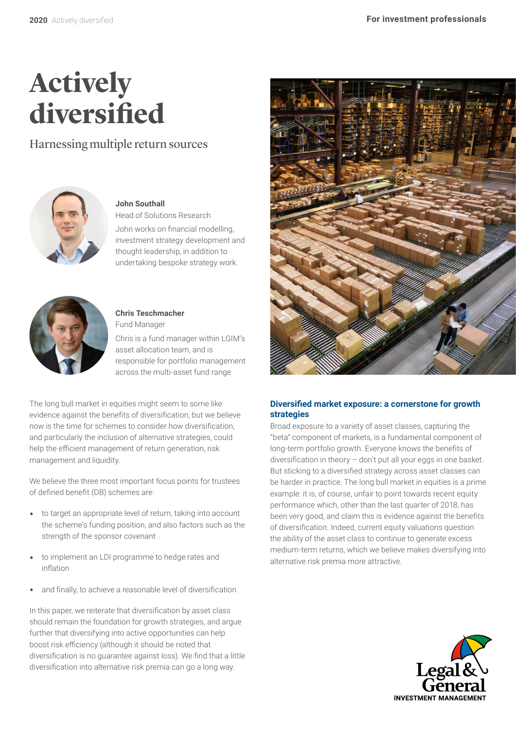# **Actively diversified**

Harnessing multiple return sources



**John Southall** 

Head of Solutions Research John works on financial modelling, investment strategy development and thought leadership, in addition to undertaking bespoke strategy work.



**Chris Teschmacher**  Fund Manager

Chris is a fund manager within LGIM's asset allocation team, and is responsible for portfolio management across the multi-asset fund range.

The long bull market in equities might seem to some like evidence against the benefits of diversification, but we believe now is the time for schemes to consider how diversification, and particularly the inclusion of alternative strategies, could help the efficient management of return generation, risk management and liquidity.

We believe the three most important focus points for trustees of defined benefit (DB) schemes are:

- to target an appropriate level of return, taking into account the scheme's funding position, and also factors such as the strength of the sponsor covenant
- to implement an LDI programme to hedge rates and inflation
- and finally, to achieve a reasonable level of diversification

In this paper, we reiterate that diversification by asset class should remain the foundation for growth strategies, and argue further that diversifying into active opportunities can help boost risk efficiency (although it should be noted that diversification is no guarantee against loss). We find that a little diversification into alternative risk premia can go a long way.



# **Diversified market exposure: a cornerstone for growth strategies**

Broad exposure to a variety of asset classes, capturing the "beta" component of markets, is a fundamental component of long-term portfolio growth. Everyone knows the benefits of diversification in theory – don't put all your eggs in one basket. But sticking to a diversified strategy across asset classes can be harder in practice. The long bull market in equities is a prime example: it is, of course, unfair to point towards recent equity performance which, other than the last quarter of 2018, has been very good, and claim this is evidence against the benefits of diversification. Indeed, current equity valuations question the ability of the asset class to continue to generate excess medium-term returns, which we believe makes diversifying into alternative risk premia more attractive.

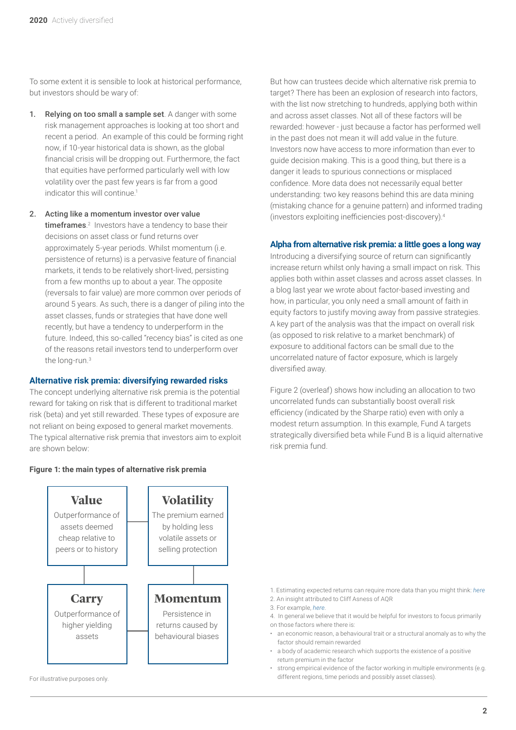To some extent it is sensible to look at historical performance, but investors should be wary of:

- 1. Relying on too small a sample set. A danger with some risk management approaches is looking at too short and recent a period. An example of this could be forming right now, if 10-year historical data is shown, as the global financial crisis will be dropping out. Furthermore, the fact that equities have performed particularly well with low volatility over the past few years is far from a good indicator this will continue.<sup>1</sup>
- 2. Acting like a momentum investor over value **timeframes**.<sup>2</sup> Investors have a tendency to base their decisions on asset class or fund returns over approximately 5-year periods. Whilst momentum (i.e. persistence of returns) is a pervasive feature of financial markets, it tends to be relatively short-lived, persisting from a few months up to about a year. The opposite (reversals to fair value) are more common over periods of around 5 years. As such, there is a danger of piling into the asset classes, funds or strategies that have done well recently, but have a tendency to underperform in the future. Indeed, this so-called "recency bias" is cited as one of the reasons retail investors tend to underperform over the long-run.3

#### **Alternative risk premia: diversifying rewarded risks**

The concept underlying alternative risk premia is the potential reward for taking on risk that is different to traditional market risk (beta) and yet still rewarded. These types of exposure are not reliant on being exposed to general market movements. The typical alternative risk premia that investors aim to exploit are shown below:

But how can trustees decide which alternative risk premia to target? There has been an explosion of research into factors, with the list now stretching to hundreds, applying both within and across asset classes. Not all of these factors will be rewarded: however - just because a factor has performed well in the past does not mean it will add value in the future. Investors now have access to more information than ever to guide decision making. This is a good thing, but there is a danger it leads to spurious connections or misplaced confidence. More data does not necessarily equal better understanding: two key reasons behind this are data mining (mistaking chance for a genuine pattern) and informed trading (investors exploiting inefficiencies post-discovery).<sup>4</sup>

#### **Alpha from alternative risk premia: a little goes a long way**

Introducing a diversifying source of return can significantly increase return whilst only having a small impact on risk. This applies both within asset classes and across asset classes. In a blog last year we wrote about factor-based investing and how, in particular, you only need a small amount of faith in equity factors to justify moving away from passive strategies. A key part of the analysis was that the impact on overall risk (as opposed to risk relative to a market benchmark) of exposure to additional factors can be small due to the uncorrelated nature of factor exposure, which is largely diversified away.

Figure 2 (overleaf) shows how including an allocation to two uncorrelated funds can substantially boost overall risk efficiency (indicated by the Sharpe ratio) even with only a modest return assumption. In this example, Fund A targets strategically diversified beta while Fund B is a liquid alternative risk premia fund.



**Figure 1: the main types of alternative risk premia**

For illustrative purposes only.

- 1. Estimating expected returns can require more data than you might think: *here* 2. An insight attributed to Cliff Asness of AQR 3. For example, *here*.
	- 4. In general we believe that it would be helpful for investors to focus primarily on those factors where there is:
	- an economic reason, a behavioural trait or a structural anomaly as to why the factor should remain rewarded
	- a body of academic research which supports the existence of a positive return premium in the factor
	- strong empirical evidence of the factor working in multiple environments (e.g. different regions, time periods and possibly asset classes).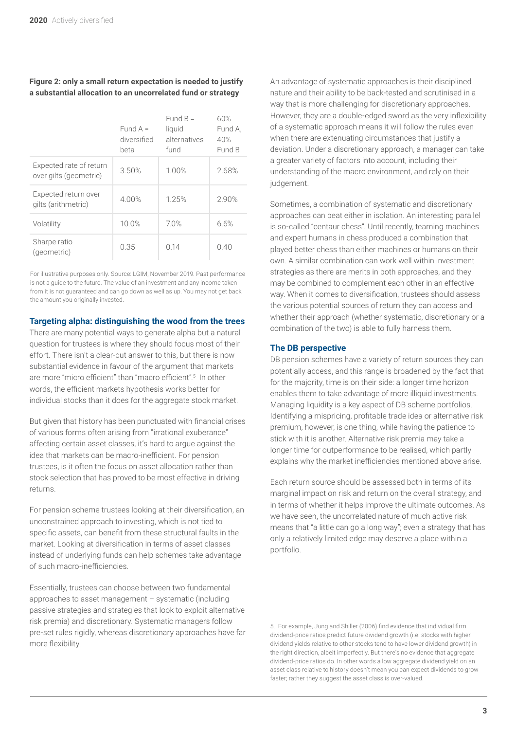#### **Figure 2: only a small return expectation is needed to justify a substantial allocation to an uncorrelated fund or strategy**

|                                                   | Fund $A =$<br>diversified<br>beta | Fund $B =$<br>liquid<br>alternatives<br>fund | 60%<br>Fund A.<br>40%<br>Fund B |
|---------------------------------------------------|-----------------------------------|----------------------------------------------|---------------------------------|
| Expected rate of return<br>over gilts (geometric) | 3.50%                             | 1.00%                                        | 2.68%                           |
| Expected return over<br>gilts (arithmetric)       | 4.00%                             | 1.25%                                        | 2.90%                           |
| Volatility                                        | 10.0%                             | 70%                                          | 6.6%                            |
| Sharpe ratio<br>(geometric)                       | 0.35                              | 014                                          | 0.40                            |

For illustrative purposes only. Source: LGIM, November 2019. Past performance is not a guide to the future. The value of an investment and any income taken from it is not guaranteed and can go down as well as up. You may not get back the amount you originally invested.

## **Targeting alpha: distinguishing the wood from the trees**

There are many potential ways to generate alpha but a natural question for trustees is where they should focus most of their effort. There isn't a clear-cut answer to this, but there is now substantial evidence in favour of the argument that markets are more "micro efficient" than "macro efficient".<sup>5</sup> In other words, the efficient markets hypothesis works better for individual stocks than it does for the aggregate stock market.

But given that history has been punctuated with financial crises of various forms often arising from "irrational exuberance" affecting certain asset classes, it's hard to argue against the idea that markets can be macro-inefficient. For pension trustees, is it often the focus on asset allocation rather than stock selection that has proved to be most effective in driving returns.

For pension scheme trustees looking at their diversification, an unconstrained approach to investing, which is not tied to specific assets, can benefit from these structural faults in the market. Looking at diversification in terms of asset classes instead of underlying funds can help schemes take advantage of such macro-inefficiencies.

Essentially, trustees can choose between two fundamental approaches to asset management – systematic (including passive strategies and strategies that look to exploit alternative risk premia) and discretionary. Systematic managers follow pre-set rules rigidly, whereas discretionary approaches have far more flexibility.

An advantage of systematic approaches is their disciplined nature and their ability to be back-tested and scrutinised in a way that is more challenging for discretionary approaches. However, they are a double-edged sword as the very inflexibility of a systematic approach means it will follow the rules even when there are extenuating circumstances that justify a deviation. Under a discretionary approach, a manager can take a greater variety of factors into account, including their understanding of the macro environment, and rely on their judgement.

Sometimes, a combination of systematic and discretionary approaches can beat either in isolation. An interesting parallel is so-called "centaur chess". Until recently, teaming machines and expert humans in chess produced a combination that played better chess than either machines or humans on their own. A similar combination can work well within investment strategies as there are merits in both approaches, and they may be combined to complement each other in an effective way. When it comes to diversification, trustees should assess the various potential sources of return they can access and whether their approach (whether systematic, discretionary or a combination of the two) is able to fully harness them.

## **The DB perspective**

DB pension schemes have a variety of return sources they can potentially access, and this range is broadened by the fact that for the majority, time is on their side: a longer time horizon enables them to take advantage of more illiquid investments. Managing liquidity is a key aspect of DB scheme portfolios. Identifying a mispricing, profitable trade idea or alternative risk premium, however, is one thing, while having the patience to stick with it is another. Alternative risk premia may take a longer time for outperformance to be realised, which partly explains why the market inefficiencies mentioned above arise.

Each return source should be assessed both in terms of its marginal impact on risk and return on the overall strategy, and in terms of whether it helps improve the ultimate outcomes. As we have seen, the uncorrelated nature of much active risk means that "a little can go a long way"; even a strategy that has only a relatively limited edge may deserve a place within a portfolio.

<sup>5.</sup> For example, Jung and Shiller (2006) find evidence that individual firm dividend-price ratios predict future dividend growth (i.e. stocks with higher dividend yields relative to other stocks tend to have lower dividend growth) in the right direction, albeit imperfectly. But there's no evidence that aggregate dividend-price ratios do. In other words a low aggregate dividend yield on an asset class relative to history doesn't mean you can expect dividends to grow faster; rather they suggest the asset class is over-valued.